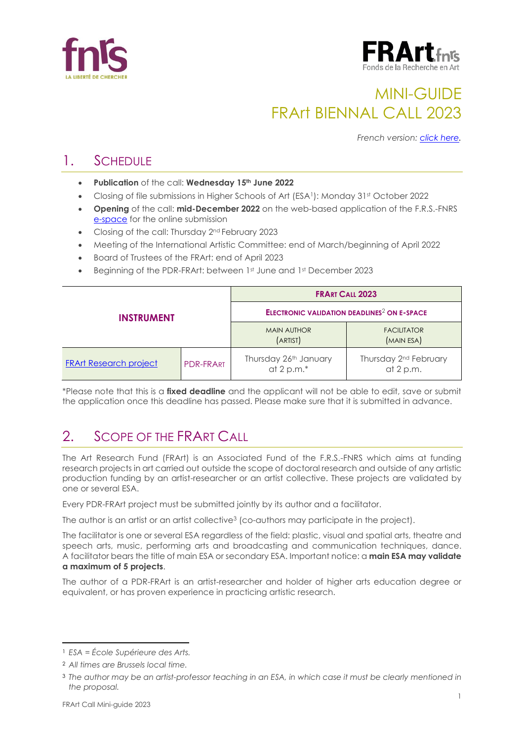



# MINI-GUIDE FRArt BIENNAL CALL 2023

*French version: [click here.](https://www.frs-fnrs.be/docs/Reglement-et-documents/FRArt_Mini-guide_2023_FR.pdf)*

### 1. SCHEDULE

- **Publication** of the call: **Wednesday 15th June 2022**
- Closing of file submissions in Higher Schools of Art (ESA<sup>1</sup>): Monday 31<sup>st</sup> October 2022
- **Opening** of the call: **mid-December 2022** on the web-based application of the F.R.S.-FNRS [e-space](https://e-space.frs-fnrs.be/) for the online submission
- Closing of the call: Thursday 2<sup>nd</sup> February 2023
- Meeting of the International Artistic Committee: end of March/beginning of April 2022
- Board of Trustees of the FRArt: end of April 2023
- Beginning of the PDR-FRArt: between 1st June and 1st December 2023

| <b>INSTRUMENT</b>             |                  | <b>FRART CALL 2023</b>                                        |                                                  |  |
|-------------------------------|------------------|---------------------------------------------------------------|--------------------------------------------------|--|
|                               |                  | <b>ELECTRONIC VALIDATION DEADLINES<sup>2</sup> ON E-SPACE</b> |                                                  |  |
|                               |                  | <b>MAIN AUTHOR</b><br>(ARTIST)                                | <b>FACILITATOR</b><br>(MAIN ESA)                 |  |
| <b>FRArt Research project</b> | <b>PDR-FRART</b> | Thursday 26th January<br>at 2 p.m. $*$                        | Thursday 2 <sup>nd</sup> February<br>at $2 p.m.$ |  |

\*Please note that this is a **fixed deadline** and the applicant will not be able to edit, save or submit the application once this deadline has passed. Please make sure that it is submitted in advance.

## 2. SCOPE OF THE FRART CALL

The Art Research Fund (FRArt) is an Associated Fund of the F.R.S.-FNRS which aims at funding research projects in art carried out outside the scope of doctoral research and outside of any artistic production funding by an artist-researcher or an artist collective. These projects are validated by one or several ESA.

Every PDR-FRArt project must be submitted jointly by its author and a facilitator.

The author is an artist or an artist collective<sup>3</sup> (co-authors may participate in the project).

The facilitator is one or several ESA regardless of the field: plastic, visual and spatial arts, theatre and speech arts, music, performing arts and broadcasting and communication techniques, dance. A facilitator bears the title of main ESA or secondary ESA. Important notice: a **main ESA may validate a maximum of 5 projects**.

The author of a PDR-FRArt is an artist-researcher and holder of higher arts education degree or equivalent, or has proven experience in practicing artistic research.

<sup>1</sup> *ESA = École Supérieure des Arts.*

<sup>2</sup> *All times are Brussels local time.*

<sup>3</sup> *The author may be an artist-professor teaching in an ESA, in which case it must be clearly mentioned in the proposal.*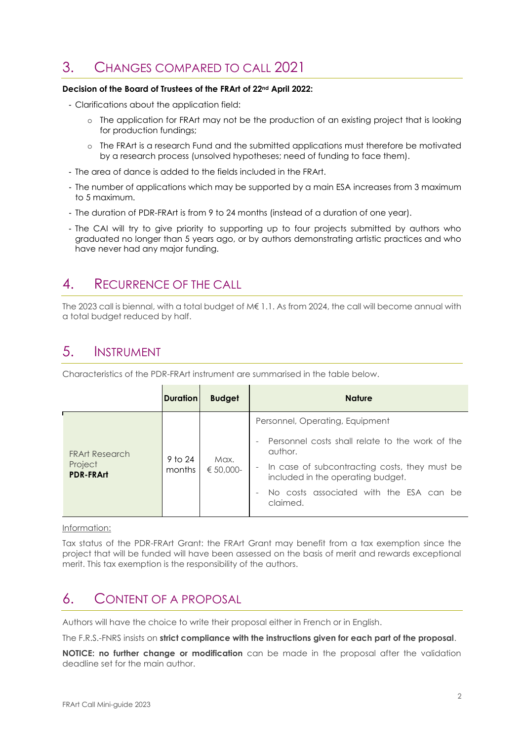### 3. CHANGES COMPARED TO CALL 2021

#### **Decision of the Board of Trustees of the FRArt of 22nd April 2022:**

- Clarifications about the application field:

- o The application for FRArt may not be the production of an existing project that is looking for production fundings;
- o The FRArt is a research Fund and the submitted applications must therefore be motivated by a research process (unsolved hypotheses; need of funding to face them).
- The area of dance is added to the fields included in the FRArt.
- The number of applications which may be supported by a main ESA increases from 3 maximum to 5 maximum.
- The duration of PDR-FRArt is from 9 to 24 months (instead of a duration of one year).
- The CAI will try to give priority to supporting up to four projects submitted by authors who graduated no longer than 5 years ago, or by authors demonstrating artistic practices and who have never had any major funding.

### 4. RECURRENCE OF THE CALL

The 2023 call is biennal, with a total budget of M€ 1.1. As from 2024, the call will become annual with a total budget reduced by half.

### 5. INSTRUMENT

Characteristics of the PDR-FRArt instrument are summarised in the table below.

|                                                      | <b>Duration</b>   | <b>Budget</b>       | <b>Nature</b>                                                                                                                                                                                                                              |  |
|------------------------------------------------------|-------------------|---------------------|--------------------------------------------------------------------------------------------------------------------------------------------------------------------------------------------------------------------------------------------|--|
| <b>FRArt Research</b><br>Project<br><b>PDR-FRArt</b> | 9 to 24<br>months | Max.<br>$€ 50,000-$ | Personnel, Operating, Equipment<br>Personnel costs shall relate to the work of the<br>author.<br>In case of subcontracting costs, they must be<br>included in the operating budget.<br>No costs associated with the ESA can be<br>claimed. |  |
|                                                      |                   |                     |                                                                                                                                                                                                                                            |  |

#### Information:

Tax status of the PDR-FRArt Grant: the FRArt Grant may benefit from a tax exemption since the project that will be funded will have been assessed on the basis of merit and rewards exceptional merit. This tax exemption is the responsibility of the authors.

### 6. CONTENT OF A PROPOSAL

Authors will have the choice to write their proposal either in French or in English.

The F.R.S.-FNRS insists on **strict compliance with the instructions given for each part of the proposal**.

**NOTICE: no further change or modification** can be made in the proposal after the validation deadline set for the main author.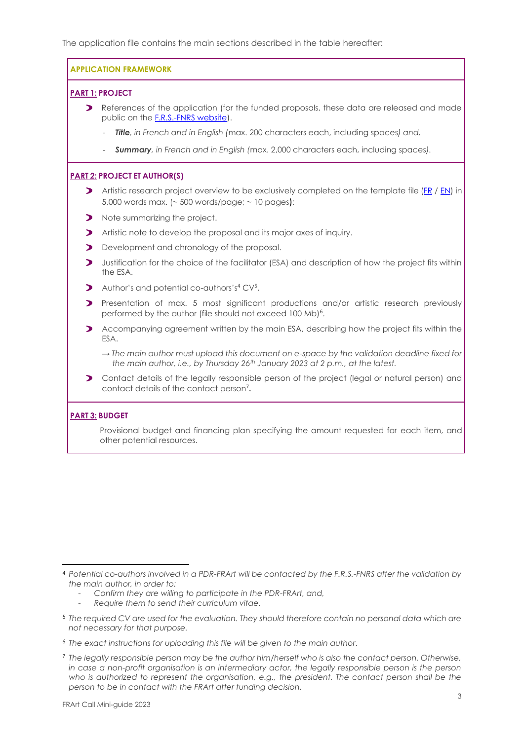The application file contains the main sections described in the table hereafter:

**APPLICATION FRAMEWORK**

#### **PART 1: PROJECT**

- **>** References of the application (for the funded proposals, these data are released and made public on the [F.R.S.-FNRS website\)](https://admin.frs-fnrs.be/SITE2/Search/Recherche.cfm).
	- *Title, in French and in English (*max. 200 characters each, including spaces*) and,*
	- *Summary, in French and in English (*max. 2,000 characters each, including spaces*).*

#### **PART 2: PROJECT ET AUTHOR(S)**

- Artistic research project overview to be exclusively completed on the template file [\(FR](https://e-space.frs-fnrs.be/documents_publics/ressource/FRS-FNRS_PDR-FRArt_FR.docx) / [EN\)](https://e-space.frs-fnrs.be/documents_publics/ressource/FRS-FNRS_PDR-FRArt_EN.docx) in 5,000 words max. (~ 500 words/page; ~ 10 pages):
- Note summarizing the project.
- Artistic note to develop the proposal and its major axes of inquiry.
- Development and chronology of the proposal.
- **D** Justification for the choice of the facilitator (ESA) and description of how the project fits within the ESA.
- Author's and potential co-authors's<sup>4</sup> CV<sup>5</sup>.
- Presentation of max. 5 most significant productions and/or artistic research previously performed by the author (file should not exceed 100 Mb)<sup>6</sup>.
- Accompanying agreement written by the main ESA, describing how the project fits within the ESA.
	- *→ The main author must upload this document on e-space by the validation deadline fixed for the main author, i.e., by Thursday 26th January 2023 at 2 p.m., at the latest.*
- Contact details of the legally responsible person of the project (legal or natural person) and contact details of the contact person<sup>7</sup> **.**

#### **PART 3: BUDGET**

Provisional budget and financing plan specifying the amount requested for each item, and other potential resources.

- *Confirm they are willing to participate in the PDR-FRArt, and,*
- *Require them to send their curriculum vitae.*
- <sup>5</sup> *The required CV are used for the evaluation. They should therefore contain no personal data which are not necessary for that purpose.*
- <sup>6</sup> *The exact instructions for uploading this file will be given to the main author.*
- <sup>7</sup> *The legally responsible person may be the author him/herself who is also the contact person. Otherwise, in case a non-profit organisation is an intermediary actor, the legally responsible person is the person* who is authorized to represent the organisation, e.g., the president. The contact person shall be the *person to be in contact with the FRArt after funding decision.*

<sup>4</sup> *Potential co-authors involved in a PDR-FRArt will be contacted by the F.R.S.-FNRS after the validation by the main author, in order to:*